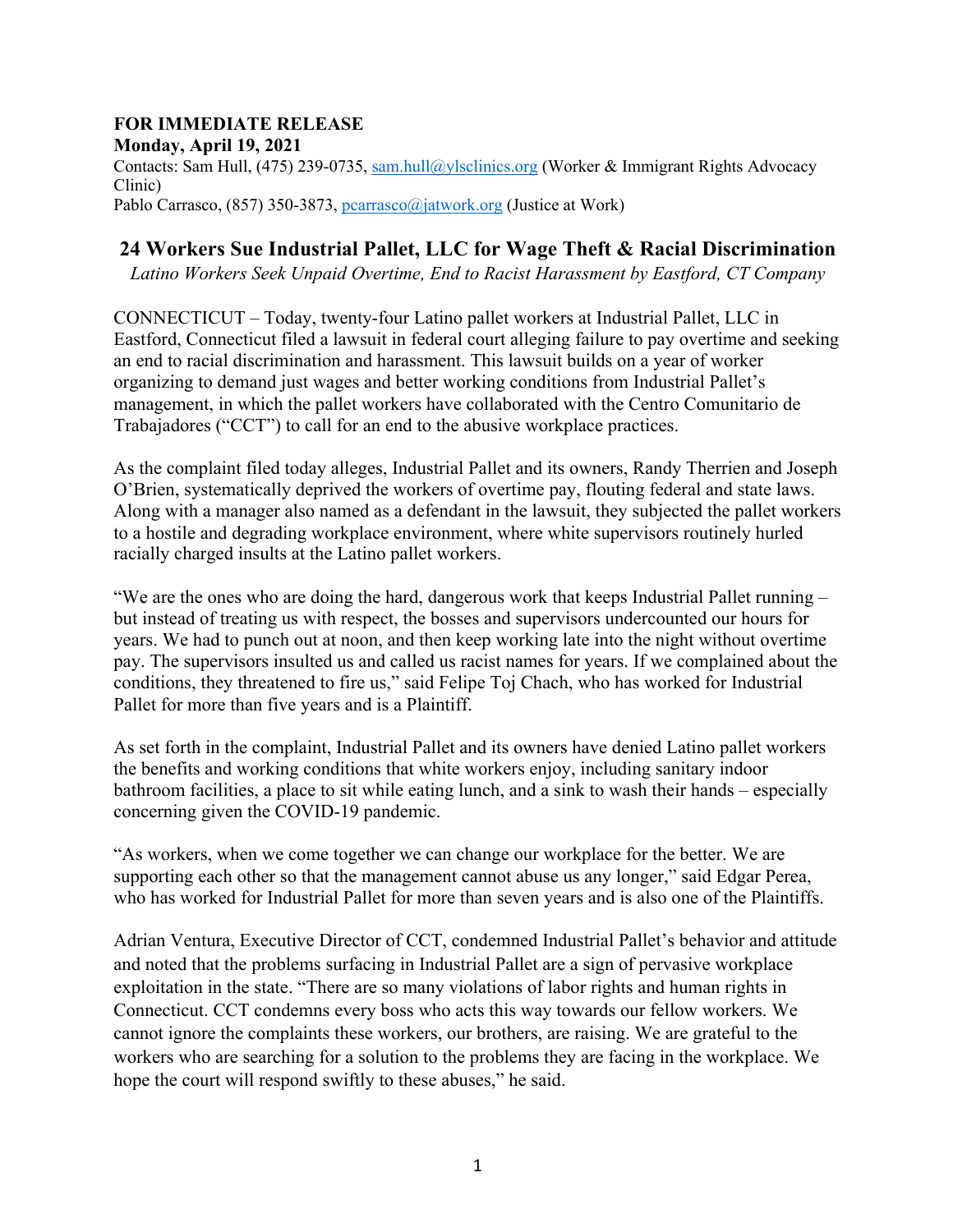## **FOR IMMEDIATE RELEASE**

**Monday, April 19, 2021**  Contacts: Sam Hull, (475) 239-0735, sam.hull@ylsclinics.org (Worker & Immigrant Rights Advocacy Clinic) Pablo Carrasco, (857) 350-3873, pearrasco@jatwork.org (Justice at Work)

## **24 Workers Sue Industrial Pallet, LLC for Wage Theft & Racial Discrimination**

*Latino Workers Seek Unpaid Overtime, End to Racist Harassment by Eastford, CT Company* 

CONNECTICUT – Today, twenty-four Latino pallet workers at Industrial Pallet, LLC in Eastford, Connecticut filed a lawsuit in federal court alleging failure to pay overtime and seeking an end to racial discrimination and harassment. This lawsuit builds on a year of worker organizing to demand just wages and better working conditions from Industrial Pallet's management, in which the pallet workers have collaborated with the Centro Comunitario de Trabajadores ("CCT") to call for an end to the abusive workplace practices.

As the complaint filed today alleges, Industrial Pallet and its owners, Randy Therrien and Joseph O'Brien, systematically deprived the workers of overtime pay, flouting federal and state laws. Along with a manager also named as a defendant in the lawsuit, they subjected the pallet workers to a hostile and degrading workplace environment, where white supervisors routinely hurled racially charged insults at the Latino pallet workers.

"We are the ones who are doing the hard, dangerous work that keeps Industrial Pallet running – but instead of treating us with respect, the bosses and supervisors undercounted our hours for years. We had to punch out at noon, and then keep working late into the night without overtime pay. The supervisors insulted us and called us racist names for years. If we complained about the conditions, they threatened to fire us," said Felipe Toj Chach, who has worked for Industrial Pallet for more than five years and is a Plaintiff.

As set forth in the complaint, Industrial Pallet and its owners have denied Latino pallet workers the benefits and working conditions that white workers enjoy, including sanitary indoor bathroom facilities, a place to sit while eating lunch, and a sink to wash their hands – especially concerning given the COVID-19 pandemic.

"As workers, when we come together we can change our workplace for the better. We are supporting each other so that the management cannot abuse us any longer," said Edgar Perea, who has worked for Industrial Pallet for more than seven years and is also one of the Plaintiffs.

Adrian Ventura, Executive Director of CCT, condemned Industrial Pallet's behavior and attitude and noted that the problems surfacing in Industrial Pallet are a sign of pervasive workplace exploitation in the state. "There are so many violations of labor rights and human rights in Connecticut. CCT condemns every boss who acts this way towards our fellow workers. We cannot ignore the complaints these workers, our brothers, are raising. We are grateful to the workers who are searching for a solution to the problems they are facing in the workplace. We hope the court will respond swiftly to these abuses," he said.